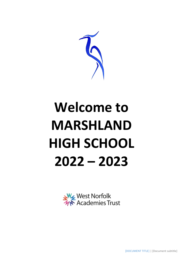

# **Welcome to MARSHLAND HIGH SCHOOL 2022 – 2023**



[DOCUMENT TITLE] | [Document subtitle]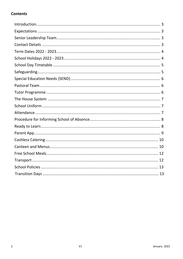#### **Contents**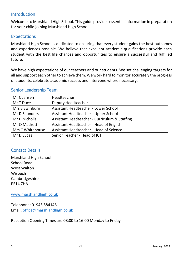## <span id="page-2-0"></span>Introduction

Welcome to Marshland High School. This guide provides essential information in preparation for your child joining Marshland High School.

## <span id="page-2-1"></span>**Expectations**

Marshland High School is dedicated to ensuring that every student gains the best outcomes and experiences possible. We believe that excellent academic qualifications provide each student with the best life chances and opportunities to ensure a successful and fulfilled future.

We have high expectations of our teachers and our students. We set challenging targets for all and support each other to achieve them. We work hard to monitor accurately the progress of students, celebrate academic success and intervene where necessary.

#### <span id="page-2-2"></span>Senior Leadership Team

| Mr C Jansen      | Headteacher                                   |
|------------------|-----------------------------------------------|
| Mr T Duce        | <b>Deputy Headteacher</b>                     |
| Mrs S Swinburn   | Assistant Headteacher - Lower School          |
| Mr D Saunders    | Assistant Headteacher - Upper School          |
| Mr D Nicholls    | Assistant Headteacher - Curriculum & Staffing |
| Mr O Mackett     | Assistant Headteacher - Head of English       |
| Mrs C Whitehouse | Assistant Headteacher - Head of Science       |
| Mr D Lucas       | Senior Teacher - Head of ICT                  |

## <span id="page-2-3"></span>Contact Details

Marshland High School School Road West Walton Wisbech Cambridgeshire PE14 7HA

[www.marshlandhigh.co.uk](http://www.marshlandhigh.co.uk/)

Telephone: 01945 584146 Email: [office@marshlandhigh.co.uk](mailto:office@marshlandhigh.co.uk)

Reception Opening Times are 08:00 to 16:00 Monday to Friday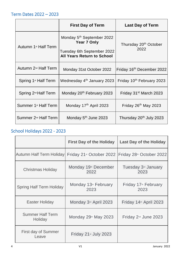<span id="page-3-0"></span>

|                                  | <b>First Day of Term</b>                                                                                                | <b>Last Day of Term</b>                   |
|----------------------------------|-------------------------------------------------------------------------------------------------------------------------|-------------------------------------------|
| Autumn 1 <sup>st</sup> Half Term | Monday 5 <sup>th</sup> September 2022<br>Year 7 Only<br>Tuesday 6th September 2022<br><b>All Years Return to School</b> | Thursday 20 <sup>th</sup> October<br>2022 |
| Autumn 2 <sup>nd</sup> Half Term | Monday 31st October 2022                                                                                                | Friday 16 <sup>th</sup> December 2022     |
| Spring 1 <sup>st</sup> Half Term | Wednesday 4 <sup>th</sup> January 2023                                                                                  | Friday 10th February 2023                 |
| Spring 2 <sup>nd</sup> Half Term | Monday 20 <sup>th</sup> February 2023                                                                                   | Friday 31 <sup>st</sup> March 2023        |
| Summer 1 <sup>st</sup> Half Term | Monday 17 <sup>th</sup> April 2023                                                                                      | Friday 26 <sup>th</sup> May 2023          |
| Summer 2 <sup>nd</sup> Half Term | Monday 5 <sup>th</sup> June 2023                                                                                        | Thursday 20 <sup>th</sup> July 2023       |

## <span id="page-3-1"></span>School Holidays 2022 - 2023

<span id="page-3-2"></span>

|                                    | <b>First Day of the Holiday</b>                                                                      | <b>Last Day of the Holiday</b>           |
|------------------------------------|------------------------------------------------------------------------------------------------------|------------------------------------------|
|                                    | Autumn Half Term Holiday Friday 21 <sup>st</sup> October 2022   Friday 28 <sup>th</sup> October 2022 |                                          |
| <b>Christmas Holiday</b>           | Monday 19th December<br>2022                                                                         | Tuesday 3 <sup>rd</sup> January<br>2023  |
| <b>Spring Half Term Holiday</b>    | Monday 13 <sup>th</sup> February<br>2023                                                             | Friday 17 <sup>th</sup> February<br>2023 |
| <b>Easter Holiday</b>              | Monday 3 <sup>rd</sup> April 2023                                                                    | Friday 14th April 2023                   |
| <b>Summer Half Term</b><br>Holiday | Monday 29th May 2023                                                                                 | Friday 2 <sup>nd</sup> June 2023         |
| First day of Summer<br>Leave       | Friday 21 <sup>st</sup> July 2023                                                                    |                                          |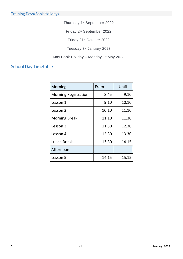Thursday 1st September 2022

Friday 2nd September 2022

Friday 21st October 2022

Tuesday 3rd January 2023

May Bank Holiday – Monday 1<sup>st</sup> May 2023

## School Day Timetable

<span id="page-4-0"></span>

| <b>Morning</b>              | From  | Until |
|-----------------------------|-------|-------|
| <b>Morning Registration</b> | 8.45  | 9.10  |
| Lesson 1                    | 9.10  | 10.10 |
| Lesson 2                    | 10.10 | 11.10 |
| <b>Morning Break</b>        | 11.10 | 11.30 |
| Lesson 3                    | 11.30 | 12.30 |
| Lesson 4                    | 12.30 | 13.30 |
| <b>Lunch Break</b>          | 13.30 | 14.15 |
| Afternoon                   |       |       |
| Lesson 5                    | 14.15 | 15.15 |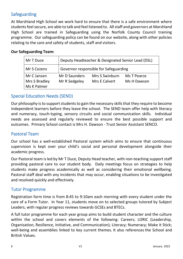## Safeguarding

At Marshland High School we work hard to ensure that there is a safe environment where students feel secure, are able to talk and feel listened to. All staff and governors at Marshland High School are trained in Safeguarding using the Norfolk County Council training programme. Our safeguarding policy can be found on our website, along with other policies relating to the care and safety of students, staff and visitors.

#### **Our Safeguarding Team:**

| Mr T Duce     | Deputy Headteacher & Designated Senior Lead (DSL) |                       |             |
|---------------|---------------------------------------------------|-----------------------|-------------|
| Mr S Cozens   | Governor responsible for Safeguarding             |                       |             |
| Mr C Jansen   | Mr D Saunders                                     | <b>Mrs S Swinburn</b> | Ms T Pearce |
| Mrs S Bradley | Mr R Sedgeley                                     | Mrs E Calvert         | Ms H Dawson |
| Ms K Palmer   |                                                   |                       |             |

## <span id="page-5-0"></span>Special Education Needs (SEND)

Our philosophy is to support students to gain the necessary skills that they require to become independent learners before they leave the school. The SEND team offer help with literacy and numeracy, touch-typing, sensory circuits and social communication skills. Individual needs are assessed and regularly reviewed to ensure the best possible support and outcomes. Primary School contact is Mrs H. Dawson - Trust Senior Assistant SENCO.

#### <span id="page-5-1"></span>Pastoral Team

Our school has a well-established Pastoral system which aims to ensure that continuous supervision is kept over your child's social and personal development alongside their academic progress.

Our Pastoral team is led by Mr T Duce, Deputy Head teacher, with non-teaching support staff providing pastoral care to our student body. Daily meetings focus on strategies to help students make progress academically as well as considering their emotional wellbeing. Pastoral staff deal with any incidents that may occur, enabling situations to be investigated and resolved quickly and effectively.

#### <span id="page-5-2"></span>Tutor Programme

Registration form time is from 8:45 to 9:10am each morning with every student under the care of a Form Tutor.In Year 11, students move on to selected groups tutored by Subject Leaders, with regular progress reviews towards GCSEs and BTECs.

A full tutor programme for each year group aims to build student character and the culture within the school and covers elements of the following: Careers; LORIC (Leadership, Organisation, Resilience, Initiative, and Communication); Literacy; Numeracy; Make it Stick; well-being and assemblies linked to key current themes. It also references the School and British Values.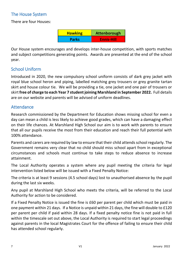## <span id="page-6-0"></span>The House System

There are four Houses:

| <b>Hawking</b> | Attenborough      |
|----------------|-------------------|
| <b>Parks</b>   | <b>Ennis-Hill</b> |

Our House system encourages and develops inter-house competition, with sports matches and subject competitions generating points. Awards are presented at the end of the school year.

## <span id="page-6-1"></span>School Uniform

Introduced in 2020, the new compulsory school uniform consists of dark grey jacket with royal blue school heron and piping, labelled matching grey trousers or grey granite tartan skirt and house colour tie. We will be providing a tie, one jacket and one pair of trousers or skirt **free of charge to each Year 7 student joining Marshland in September 2022.** Full details are on our website and parents will be advised of uniform deadlines.

## <span id="page-6-2"></span>**Attendance**

Research commissioned by the Department for Education shows missing school for even a day can mean a child is less likely to achieve good grades, which can have a damaging effect on their life chances. At Marshland High School our aim is to work with parents to ensure that all our pupils receive the most from their education and reach their full potential with 100% attendance.

Parents and carers are required by law to ensure that their child attends school regularly. The Government remains very clear that no child should miss school apart from in exceptional circumstances and schools must continue to take steps to reduce absence to increase attainment.

The Local Authority operates a system where any pupil meeting the criteria for legal intervention listed below will be issued with a Fixed Penalty Notice:

The criteria is at least 9 sessions (4.5 school days) lost to unauthorised absence by the pupil during the last six weeks.

Any pupil at Marshland High School who meets the criteria, will be referred to the Local Authority for action to be considered.

If a Fixed Penalty Notice is issued the fine is £60 per parent per child which must be paid in one payment within 21 days. If a Notice is unpaid within 21 days, the fine will double to £120 per parent per child if paid within 28 days. If a fixed penalty notice fine is not paid in full within the timescale set out above, the Local Authority is required to start legal proceedings against parents in the local Magistrates Court for the offence of failing to ensure their child has attended school regularly.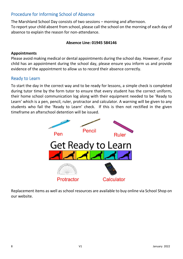## <span id="page-7-0"></span>Procedure for Informing School of Absence

The Marshland School Day consists of two sessions – morning and afternoon. To report your child absent from school, please call the school on the morning of each day of absence to explain the reason for non-attendance.

#### **Absence Line: 01945 584146**

#### **Appointments**

Please avoid making medical or dental appointments during the school day. However, if your child has an appointment during the school day, please ensure you inform us and provide evidence of the appointment to allow us to record their absence correctly.

#### <span id="page-7-1"></span>Ready to Learn

To start the day in the correct way and to be ready for lessons, a simple check is completed during tutor time by the form tutor to ensure that every student has the correct uniform, their home school communication log along with their equipment needed to be 'Ready to Learn' which is a pen, pencil, ruler, protractor and calculator. A warning will be given to any students who fail the 'Ready to Learn' check. If this is then not rectified in the given timeframe an afterschool detention will be issued.



Replacement items as well as school resources are available to buy online via School Shop on our website.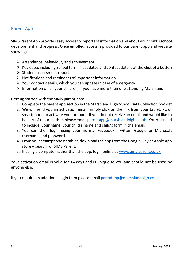## <span id="page-8-0"></span>Parent App

SIMS Parent App provides easy access to important information and about your child's school development and progress. Once enrolled, access is provided to our parent app and website showing:

- $\triangleright$  Attendance, behaviour, and achievement
- $\triangleright$  Key dates including School term, Inset dates and contact details at the click of a button
- $\triangleright$  Student assessment report
- $\triangleright$  Notifications and reminders of important information
- $\triangleright$  Your contact details, which you can update in case of emergency
- $\triangleright$  Information on all your children, if you have more than one attending Marshland

Getting started with the SIMS parent app:

- 1. Complete the parent app section in the Marshland High School Data Collection booklet
- 2. We will send you an activation email, simply click on the link from your tablet, PC or smartphone to activate your account. If you do not receive an email and would like to be part of this app, then please email [parentapp@marshlandhigh.co.uk.](mailto:parentapp@marshlandhigh.co.uk) You will need to include; your name, your child's name and child's form in the email.
- 3. You can then login using your normal Facebook, Twitter, Google or Microsoft username and password.
- 4. From your smartphone or tablet, download the app from the Google Play or Apple App store – search for SIMS Parent.
- 5. If using a computer rather than the app, login online at [www.sims-parent.co.uk](http://www.sims-parent.co.uk/)

Your activation email is valid for 14 days and is unique to you and should not be used by anyone else.

If you require an additional login then please email [parentapp@marshlandhigh.co.uk](mailto:parentapp@marshlandhigh.co.uk)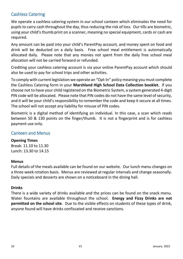## <span id="page-9-0"></span>Cashless Catering

We operate a cashless catering system in our school canteen which eliminates the need for pupils to carry cash throughout the day, thus reducing the risk of loss. Our tills are biometric, using your child's thumb print on a scanner, meaning no special equipment, cards or cash are required.

Any amount can be paid into your child's ParentPay account, and money spent on food and drink will be deducted on a daily basis. Free school meal entitlement is automatically allocated daily. Please note that any monies not spent from the daily free school meal allocation will not be carried forward or refunded.

Crediting your cashless catering account is via your online ParentPay account which should also be used to pay for school trips and other activities.

To comply with current legislation we operate an "Opt-In" policy meaning you must complete the Cashless Catering form in your **Marshland High School Data Collection booklet.** If you choose not to have your child registered on the Biometric System, a system generated 4-digit PIN code will be allocated. Please note that PIN codes do not have the same level of security, and it will be your child's responsibility to remember the code and keep it secure at all times. The school will not accept any liability for misuse of PIN codes.

Biometric is a digital method of identifying an individual. In this case, a scan which reads between 50 & 130 points on the finger/thumb. It is not a fingerprint and is for cashless payment use only.

## <span id="page-9-1"></span>Canteen and Menus

#### **Opening Times**

Break: 11.10 to 11.30 Lunch: 13.30 to 14.15

#### **Menus**

Full details of the meals available can be found on our website. Our lunch menu changes on a three week rotation basis. Menus are reviewed at regular intervals and change seasonally. Daily specials and desserts are shown on a noticeboard in the dining hall.

#### **Drinks**

There is a wide variety of drinks available and the prices can be found on the snack menu. Water fountains are available throughout the school. **Energy and Fizzy Drinks are not permitted on the school site**. Due to the visible effects on students of these types of drink, anyone found will have drinks confiscated and receive sanctions.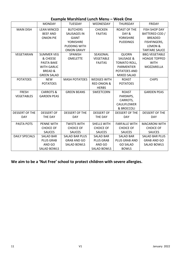| Example Marshiand Lunch Menu – week One |                      |                       |                        |                       |                       |
|-----------------------------------------|----------------------|-----------------------|------------------------|-----------------------|-----------------------|
|                                         | <b>MONDAY</b>        | TUESDAY               | WEDNESDAY              | <b>THURSDAY</b>       | <b>FRIDAY</b>         |
| <b>MAIN DISH</b>                        | <b>LEAN MINCED</b>   | <b>BUTCHERS</b>       | <b>CHICKEN</b>         | <b>ROAST OF THE</b>   | <b>FISH SHOP DAY</b>  |
|                                         | <b>BEEF AND</b>      | <b>SAUSAGES IN</b>    | <b>FAJITAS</b>         | DAY &                 | BATTERED COD /        |
|                                         | <b>ONION PIE</b>     | <b>GIANT</b>          |                        | <b>YORKSHIRE</b>      | <b>BREADED</b>        |
|                                         |                      | <b>YORKSHIRE</b>      |                        | <b>PUDDINGS</b>       | <b>FISHFINGERS,</b>   |
|                                         |                      | <b>PUDDING WITH</b>   |                        |                       | LEMON &               |
|                                         |                      | <b>ONION GRAVY</b>    |                        |                       | <b>TARTARE SAUCE</b>  |
| VEGETARIAN                              | <b>SUMMER VEG</b>    | SPANISH               | SEASONAL               | <b>QUORN</b>          | <b>BBQ VEGETABLE</b>  |
|                                         | & CHEESE             | <b>OMELETTE</b>       | VEGETABLE              | SAUSAGE &             | <b>HOAGIE TOPPED</b>  |
|                                         | PASTA BAKE           |                       | <b>FAJITAS</b>         | TOMATO ROLL,          | <b>WITH</b>           |
|                                         | <b>WITH GARLIC</b>   |                       |                        | <b>PARMENTIER</b>     | MOZZARELLA            |
|                                         | <b>BREAD &amp;</b>   |                       |                        | POTATOES AND          |                       |
|                                         | <b>GREEN SALAD</b>   |                       |                        | <b>MIXED SALAD</b>    |                       |
| <b>POTATOES</b>                         | <b>NEW</b>           | <b>MASH POTATOES</b>  | <b>WEDGES WITH</b>     | <b>ROAST</b>          | <b>CHIPS</b>          |
|                                         | <b>POTATOES</b>      |                       | <b>RED ONION &amp;</b> | <b>POTATOES</b>       |                       |
|                                         |                      |                       | <b>HERBS</b>           |                       |                       |
| <b>FRESH</b>                            | <b>CARROTS &amp;</b> | <b>GREEN BEANS</b>    | <b>SWEETCORN</b>       | <b>ROAST</b>          | <b>GARDEN PEAS</b>    |
| <b>VEGETABLES</b>                       | <b>GARDEN PEAS</b>   |                       |                        | PARSNIPS,             |                       |
|                                         |                      |                       |                        | CARROTS,              |                       |
|                                         |                      |                       |                        | CAULIFLOWER           |                       |
|                                         |                      |                       |                        | & BROCCOLI            |                       |
| <b>DESSERT OF THE</b>                   | <b>DESSERT OF</b>    | <b>DESSERT OF THE</b> | <b>DESSERT OF</b>      | <b>DESSERT OF THE</b> | <b>DESSERT OF THE</b> |
| <b>DAY</b>                              | THE DAY              | <b>DAY</b>            | THE DAY                | <b>DAY</b>            | <b>DAY</b>            |
| PASTA POTS                              | <b>PENNE WITH</b>    | <b>TWISTS WITH</b>    | SHELLS WITH            | <b>FARFALLE WITH</b>  | <b>MACARONI WITH</b>  |
|                                         | <b>CHOICE OF</b>     | <b>CHOICE OF</b>      | <b>CHOICE OF</b>       | <b>CHOICE OF</b>      | <b>CHOICE OF</b>      |
|                                         | <b>SAUCES</b>        | <b>SAUCES</b>         | <b>SAUCES</b>          | <b>SAUCES</b>         | <b>SAUCES</b>         |
| <b>DAILY SPECIALS</b>                   | <b>SALAD BAR</b>     | <b>SALAD BAR PLUS</b> | <b>SALAD BAR</b>       | <b>SALAD BAR</b>      | <b>SALAD BAR PLUS</b> |
|                                         | <b>PLUS GRAB</b>     | <b>GRAB AND GO</b>    | <b>PLUS GRAB</b>       | PLUS GRAB AND         | <b>GRAB AND GO</b>    |
|                                         | AND GO               | <b>SALAD BOWLS</b>    | AND GO                 | <b>GO SALAD</b>       | <b>SALAD BOWLS</b>    |
|                                         | <b>SALAD BOWLS</b>   |                       | <b>SALAD BOWLS</b>     | <b>BOWLS</b>          |                       |

#### **Example Marshland Lunch Menu – Week One**

**We aim to be a 'Nut Free' school to protect children with severe allergies.**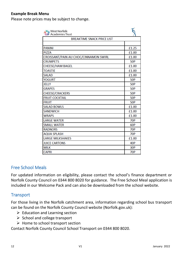#### **Example Break Menu**

Please note prices may be subject to change.

| West Norfolk<br>MY Academies Trust    |            |  |  |
|---------------------------------------|------------|--|--|
| <b>BREAKTIME SNACK PRICE LIST</b>     |            |  |  |
|                                       |            |  |  |
| <b>PANINI</b>                         | £1.25      |  |  |
| <b>PIZZA</b>                          | £1.00      |  |  |
| CROISSANT/PAIN AU CHOC/CINNAMON SWIRL | £1.00      |  |  |
| <b>CRUMPETS</b>                       | <b>50P</b> |  |  |
| <b>CHEESE/HAM BAGEL</b>               | £1.00      |  |  |
| <b>TOASTIE</b>                        | £1.00      |  |  |
| <b>SALAD</b>                          | £1.00      |  |  |
| <b>YOGURT</b>                         | <b>50P</b> |  |  |
| <b>JELLY</b>                          | <b>50P</b> |  |  |
| <b>GRAPES</b>                         | <b>50P</b> |  |  |
| <b>CHEESE/CRACKERS</b>                | <b>50P</b> |  |  |
| <b>FRUIT COCKTAIL</b>                 | <b>50P</b> |  |  |
| <b>FRUIT</b>                          | <b>50P</b> |  |  |
| <b>SALAD BOWLS</b>                    | £1.00      |  |  |
| <b>SANDWICH</b>                       | £1.00      |  |  |
| <b>WRAPS</b>                          | £1.00      |  |  |
| <b>LARGE WATER</b>                    | <b>70P</b> |  |  |
| <b>SMALL WATER</b>                    | 60P        |  |  |
| <b>RADNORS</b>                        | <b>70P</b> |  |  |
| <b>AQUA SPLASH</b>                    | <b>70P</b> |  |  |
| <b>LARGE MILKSHAKES</b>               | £1.00      |  |  |
| <b>JUICE CARTONS</b>                  | 40P        |  |  |
| <b>MILK</b>                           | 30P        |  |  |
| <b>CAPRI</b>                          | <b>70P</b> |  |  |

#### <span id="page-11-0"></span>Free School Meals

For updated information on eligibility, please contact the school's finance department or Norfolk County Council on 0344 800 8020 for guidance. The Free School Meal application is included in our Welcome Pack and can also be downloaded from the school website.

#### <span id="page-11-1"></span>**Transport**

For those living in the Norfolk catchment area, information regarding school bus transport can be found on the Norfolk County Council website (Norfolk.gov.uk):

- $\triangleright$  Education and Learning section
- $\triangleright$  School and college transport
- $\triangleright$  Home to school transport section

Contact Norfolk County Council School Transport on 0344 800 8020.